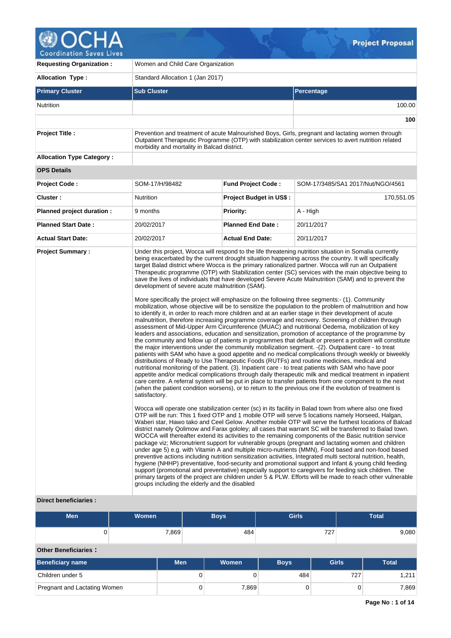

| <b>Requesting Organization:</b>  | Women and Child Care Organization                                                                                 |                                |                                                                                                                                                                                                                                                                                                                                                                                                                                                                                                                                                                                                                                                                                                                                                                                                                                                                                                                                                                                                                                                                                                                                                                                                                                                                                                                                                                                                                                                                                                                                                                                                                                                                                                                                                                                                                                                                                                                                                                                                                                                                                                                                                                                                                                                                                                                                                                                                                                                                                                                                                                                                                                                                                                                                                                                                                                                                                                                                                                                                                                                                                                                                         |  |  |  |  |
|----------------------------------|-------------------------------------------------------------------------------------------------------------------|--------------------------------|-----------------------------------------------------------------------------------------------------------------------------------------------------------------------------------------------------------------------------------------------------------------------------------------------------------------------------------------------------------------------------------------------------------------------------------------------------------------------------------------------------------------------------------------------------------------------------------------------------------------------------------------------------------------------------------------------------------------------------------------------------------------------------------------------------------------------------------------------------------------------------------------------------------------------------------------------------------------------------------------------------------------------------------------------------------------------------------------------------------------------------------------------------------------------------------------------------------------------------------------------------------------------------------------------------------------------------------------------------------------------------------------------------------------------------------------------------------------------------------------------------------------------------------------------------------------------------------------------------------------------------------------------------------------------------------------------------------------------------------------------------------------------------------------------------------------------------------------------------------------------------------------------------------------------------------------------------------------------------------------------------------------------------------------------------------------------------------------------------------------------------------------------------------------------------------------------------------------------------------------------------------------------------------------------------------------------------------------------------------------------------------------------------------------------------------------------------------------------------------------------------------------------------------------------------------------------------------------------------------------------------------------------------------------------------------------------------------------------------------------------------------------------------------------------------------------------------------------------------------------------------------------------------------------------------------------------------------------------------------------------------------------------------------------------------------------------------------------------------------------------------------------|--|--|--|--|
| <b>Allocation Type:</b>          | Standard Allocation 1 (Jan 2017)                                                                                  |                                |                                                                                                                                                                                                                                                                                                                                                                                                                                                                                                                                                                                                                                                                                                                                                                                                                                                                                                                                                                                                                                                                                                                                                                                                                                                                                                                                                                                                                                                                                                                                                                                                                                                                                                                                                                                                                                                                                                                                                                                                                                                                                                                                                                                                                                                                                                                                                                                                                                                                                                                                                                                                                                                                                                                                                                                                                                                                                                                                                                                                                                                                                                                                         |  |  |  |  |
| <b>Primary Cluster</b>           | <b>Sub Cluster</b>                                                                                                |                                | <b>Percentage</b>                                                                                                                                                                                                                                                                                                                                                                                                                                                                                                                                                                                                                                                                                                                                                                                                                                                                                                                                                                                                                                                                                                                                                                                                                                                                                                                                                                                                                                                                                                                                                                                                                                                                                                                                                                                                                                                                                                                                                                                                                                                                                                                                                                                                                                                                                                                                                                                                                                                                                                                                                                                                                                                                                                                                                                                                                                                                                                                                                                                                                                                                                                                       |  |  |  |  |
| Nutrition                        |                                                                                                                   |                                | 100.00                                                                                                                                                                                                                                                                                                                                                                                                                                                                                                                                                                                                                                                                                                                                                                                                                                                                                                                                                                                                                                                                                                                                                                                                                                                                                                                                                                                                                                                                                                                                                                                                                                                                                                                                                                                                                                                                                                                                                                                                                                                                                                                                                                                                                                                                                                                                                                                                                                                                                                                                                                                                                                                                                                                                                                                                                                                                                                                                                                                                                                                                                                                                  |  |  |  |  |
|                                  |                                                                                                                   |                                | 100                                                                                                                                                                                                                                                                                                                                                                                                                                                                                                                                                                                                                                                                                                                                                                                                                                                                                                                                                                                                                                                                                                                                                                                                                                                                                                                                                                                                                                                                                                                                                                                                                                                                                                                                                                                                                                                                                                                                                                                                                                                                                                                                                                                                                                                                                                                                                                                                                                                                                                                                                                                                                                                                                                                                                                                                                                                                                                                                                                                                                                                                                                                                     |  |  |  |  |
| <b>Project Title:</b>            | morbidity and mortality in Balcad district.                                                                       |                                | Prevention and treatment of acute Malnourished Boys, Girls, pregnant and lactating women through<br>Outpatient Therapeutic Programme (OTP) with stabilization center services to avert nutrition related                                                                                                                                                                                                                                                                                                                                                                                                                                                                                                                                                                                                                                                                                                                                                                                                                                                                                                                                                                                                                                                                                                                                                                                                                                                                                                                                                                                                                                                                                                                                                                                                                                                                                                                                                                                                                                                                                                                                                                                                                                                                                                                                                                                                                                                                                                                                                                                                                                                                                                                                                                                                                                                                                                                                                                                                                                                                                                                                |  |  |  |  |
| <b>Allocation Type Category:</b> |                                                                                                                   |                                |                                                                                                                                                                                                                                                                                                                                                                                                                                                                                                                                                                                                                                                                                                                                                                                                                                                                                                                                                                                                                                                                                                                                                                                                                                                                                                                                                                                                                                                                                                                                                                                                                                                                                                                                                                                                                                                                                                                                                                                                                                                                                                                                                                                                                                                                                                                                                                                                                                                                                                                                                                                                                                                                                                                                                                                                                                                                                                                                                                                                                                                                                                                                         |  |  |  |  |
| <b>OPS Details</b>               |                                                                                                                   |                                |                                                                                                                                                                                                                                                                                                                                                                                                                                                                                                                                                                                                                                                                                                                                                                                                                                                                                                                                                                                                                                                                                                                                                                                                                                                                                                                                                                                                                                                                                                                                                                                                                                                                                                                                                                                                                                                                                                                                                                                                                                                                                                                                                                                                                                                                                                                                                                                                                                                                                                                                                                                                                                                                                                                                                                                                                                                                                                                                                                                                                                                                                                                                         |  |  |  |  |
| <b>Project Code:</b>             | SOM-17/H/98482                                                                                                    | <b>Fund Project Code:</b>      | SOM-17/3485/SA1 2017/Nut/NGO/4561                                                                                                                                                                                                                                                                                                                                                                                                                                                                                                                                                                                                                                                                                                                                                                                                                                                                                                                                                                                                                                                                                                                                                                                                                                                                                                                                                                                                                                                                                                                                                                                                                                                                                                                                                                                                                                                                                                                                                                                                                                                                                                                                                                                                                                                                                                                                                                                                                                                                                                                                                                                                                                                                                                                                                                                                                                                                                                                                                                                                                                                                                                       |  |  |  |  |
| Cluster:                         | Nutrition                                                                                                         | <b>Project Budget in US\$:</b> | 170,551.05                                                                                                                                                                                                                                                                                                                                                                                                                                                                                                                                                                                                                                                                                                                                                                                                                                                                                                                                                                                                                                                                                                                                                                                                                                                                                                                                                                                                                                                                                                                                                                                                                                                                                                                                                                                                                                                                                                                                                                                                                                                                                                                                                                                                                                                                                                                                                                                                                                                                                                                                                                                                                                                                                                                                                                                                                                                                                                                                                                                                                                                                                                                              |  |  |  |  |
| Planned project duration :       | 9 months                                                                                                          | Priority:                      | A - High                                                                                                                                                                                                                                                                                                                                                                                                                                                                                                                                                                                                                                                                                                                                                                                                                                                                                                                                                                                                                                                                                                                                                                                                                                                                                                                                                                                                                                                                                                                                                                                                                                                                                                                                                                                                                                                                                                                                                                                                                                                                                                                                                                                                                                                                                                                                                                                                                                                                                                                                                                                                                                                                                                                                                                                                                                                                                                                                                                                                                                                                                                                                |  |  |  |  |
| <b>Planned Start Date:</b>       | 20/02/2017                                                                                                        | <b>Planned End Date:</b>       | 20/11/2017                                                                                                                                                                                                                                                                                                                                                                                                                                                                                                                                                                                                                                                                                                                                                                                                                                                                                                                                                                                                                                                                                                                                                                                                                                                                                                                                                                                                                                                                                                                                                                                                                                                                                                                                                                                                                                                                                                                                                                                                                                                                                                                                                                                                                                                                                                                                                                                                                                                                                                                                                                                                                                                                                                                                                                                                                                                                                                                                                                                                                                                                                                                              |  |  |  |  |
| <b>Actual Start Date:</b>        | 20/02/2017                                                                                                        | <b>Actual End Date:</b>        | 20/11/2017                                                                                                                                                                                                                                                                                                                                                                                                                                                                                                                                                                                                                                                                                                                                                                                                                                                                                                                                                                                                                                                                                                                                                                                                                                                                                                                                                                                                                                                                                                                                                                                                                                                                                                                                                                                                                                                                                                                                                                                                                                                                                                                                                                                                                                                                                                                                                                                                                                                                                                                                                                                                                                                                                                                                                                                                                                                                                                                                                                                                                                                                                                                              |  |  |  |  |
|                                  | development of severe acute malnutrition (SAM).<br>satisfactory.<br>groups including the elderly and the disabled |                                | being exacerbated by the current drought situation happening across the country. It will specifically<br>target Balad district where Wocca is the primary rationalized partner. Wocca will run an Outpatient<br>Therapeutic programme (OTP) with Stabilization center (SC) services with the main objective being to<br>save the lives of individuals that have developed Severe Acute Malnutrition (SAM) and to prevent the<br>More specifically the project will emphasize on the following three segments:- (1). Community<br>mobilization, whose objective will be to sensitize the population to the problem of malnutrition and how<br>to identify it, in order to reach more children and at an earlier stage in their development of acute<br>malnutrition, therefore increasing programme coverage and recovery. Screening of children through<br>assessment of Mid-Upper Arm Circumference (MUAC) and nutritional Oedema, mobilization of key<br>leaders and associations, education and sensitization, promotion of acceptance of the programme by<br>the community and follow up of patients in programmes that default or present a problem will constitute<br>the major interventions under the community mobilization segment. -(2). Outpatient care - to treat<br>patients with SAM who have a good appetite and no medical complications through weekly or biweekly<br>distributions of Ready to Use Therapeutic Foods (RUTFs) and routine medicines, medical and<br>nutritional monitoring of the patient. (3). Inpatient care - to treat patients with SAM who have poor<br>appetite and/or medical complications through daily therapeutic milk and medical treatment in inpatient<br>care centre. A referral system will be put in place to transfer patients from one component to the next<br>(when the patient condition worsens), or to return to the previous one if the evolution of treatment is<br>Wocca will operate one stabilization center (sc) in its facility in Balad town from where also one fixed<br>OTP will be run: This 1 fixed OTP and 1 mobile OTP will serve 5 locations namely Horseed, Halgan,<br>Waberi star, Hawo tako and Ceel Gelow. Another mobile OTP will serve the furthest locations of Balcad<br>district namely Qolimow and Farax gololey; all cases that warrant SC will be transferred to Balad town.<br>WOCCA will thereafter extend its activities to the remaining components of the Basic nutrition service<br>package viz; Micronutrient support for vulnerable groups (pregnant and lactating women and children<br>under age 5) e.g. with Vitamin A and multiple micro-nutrients (MMN), Food based and non-food based<br>preventive actions including nutrition sensitization activities, Integrated multi sectoral nutrition, health,<br>hygiene (NHHP) preventative, food-security and promotional support and Infant & young child feeding<br>support (promotional and preventative) especially support to caregivers for feeding sick children. The<br>primary targets of the project are children under 5 & PLW. Efforts will be made to reach other vulnerable |  |  |  |  |

# **Direct beneficiaries :**

| <b>Men</b> | Women <sup>1</sup> | Boys | <b>Girls</b> | <b>Total</b> |
|------------|--------------------|------|--------------|--------------|
|            | 7,869              | 484  | 707<br>121   | 9,080        |

# **Other Beneficiaries :**

| <b>Beneficiary name</b>      | <b>Men</b> | Women           | <b>Boys</b> | <b>Girls</b> | Total |
|------------------------------|------------|-----------------|-------------|--------------|-------|
| Children under 5             | O          |                 | 484         | 727          | 211.  |
| Pregnant and Lactating Women | O          | $^{\prime}.869$ |             |              | 7,869 |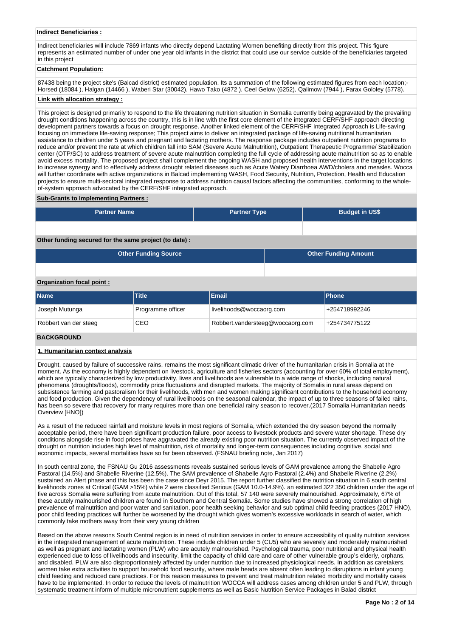#### **Indirect Beneficiaries :**

Indirect beneficiaries will include 7869 infants who directly depend Lactating Women benefiting directly from this project. This figure represents an estimated number of under one year old infants in the district that could use our service outside of the beneficiaries targeted in this project

### **Catchment Population:**

87438 being the project site's (Balcad district) estimated population. Its a summation of the following estimated figures from each location;-Horsed (18084 ), Halgan (14466 ), Waberi Star (30042), Hawo Tako (4872 ), Ceel Gelow (6252), Qalimow (7944 ), Farax Gololey (5778).

#### **Link with allocation strategy :**

This project is designed primarily to respond to the life threatening nutrition situation in Somalia currently being aggravated by the prevailing drought conditions happening across the country, this is in line with the first core element of the integrated CERF/SHF approach directing development partners towards a focus on drought response. Another linked element of the CERF/SHF Integrated Approach is Life-saving focusing on immediate life-saving response; This project aims to deliver an integrated package of life-saving nutritional humanitarian assistance to children under 5 years and pregnant and lactating mothers. The response package includes outpatient nutrition programs to reduce and/or prevent the rate at which children fall into SAM (Severe Acute Malnutrition), Outpatient Therapeutic Programme/ Stabilization center (OTP/SC) to address treatment of severe acute malnutrition completing the full cycle of addressing acute malnutrition so as to enable avoid excess mortality. The proposed project shall complement the ongoing WASH and proposed health interventions in the target locations to increase synergy and to effectively address drought related diseases such as Acute Watery Diarrhoea AWD/cholera and measles. Wocca will further coordinate with active organizations in Balcad implementing WASH, Food Security, Nutrition, Protection, Health and Education projects to ensure multi-sectoral integrated response to address nutrition causal factors affecting the communities, conforming to the wholeof-system approach advocated by the CERF/SHF integrated approach.

#### **Sub-Grants to Implementing Partners :**

| <b>Partner Name</b>                                   | <b>Partner Type</b> | <b>Budget in US\$</b>       |  |
|-------------------------------------------------------|---------------------|-----------------------------|--|
|                                                       |                     |                             |  |
| Other funding secured for the same project (to date): |                     |                             |  |
| <b>Other Funding Source</b>                           |                     | <b>Other Funding Amount</b> |  |

#### **Organization focal point :**

| <b>Name</b>           | <b>Title</b>      | Email                            | <b>IPhone</b> |
|-----------------------|-------------------|----------------------------------|---------------|
| Joseph Mutunga        | Programme officer | livelihoods@woccaorg.com         | +254718992246 |
| Robbert van der steeg | CEO               | Robbert.vandersteeg@woccaorg.com | +254734775122 |

### **BACKGROUND**

#### **1. Humanitarian context analysis**

Drought, caused by failure of successive rains, remains the most significant climatic driver of the humanitarian crisis in Somalia at the moment. As the economy is highly dependent on livestock, agriculture and fisheries sectors (accounting for over 60% of total employment), which are typically characterized by low productivity, lives and livelihoods are vulnerable to a wide range of shocks, including natural phenomena (droughts/floods), commodity price fluctuations and disrupted markets. The majority of Somalis in rural areas depend on subsistence farming and pastoralism for their livelihoods, with men and women making significant contributions to the household economy and food production. Given the dependency of rural livelihoods on the seasonal calendar, the impact of up to three seasons of failed rains, has been so severe that recovery for many requires more than one beneficial rainy season to recover.(2017 Somalia Humanitarian needs Overview [HNO])

As a result of the reduced rainfall and moisture levels in most regions of Somalia, which extended the dry season beyond the normally acceptable period, there have been significant production failure, poor access to livestock products and severe water shortage. These dry conditions alongside rise in food prices have aggravated the already existing poor nutrition situation. The currently observed impact of the drought on nutrition includes high level of malnutrition, risk of mortality and longer-term consequences including cognitive, social and economic impacts, several mortalities have so far been observed. (FSNAU briefing note, Jan 2017)

In south central zone, the FSNAU Gu 2016 assessments reveals sustained serious levels of GAM prevalence among the Shabelle Agro Pastoral (14.5%) and Shabelle Riverine (12.5%). The SAM prevalence of Shabelle Agro Pastoral (2.4%) and Shabelle Riverine (2.2%) sustained an Alert phase and this has been the case since Deyr 2015. The report further classified the nutrition situation in 6 south central livelihoods zones at Critical (GAM >15%) while 2 were classified Serious (GAM 10.0-14.9%). an estimated 322 350 children under the age of five across Somalia were suffering from acute malnutrition. Out of this total, 57 140 were severely malnourished. Approximately, 67% of these acutely malnourished children are found in Southern and Central Somalia. Some studies have showed a strong correlation of high prevalence of malnutrition and poor water and sanitation, poor health seeking behavior and sub optimal child feeding practices (2017 HNO), poor child feeding practices will further be worsened by the drought which gives women's excessive workloads in search of water, which commonly take mothers away from their very young children

Based on the above reasons South Central region is in need of nutrition services in order to ensure accessibility of quality nutrition services in the integrated management of acute malnutrition. These include children under 5 (CU5) who are severely and moderately malnourished as well as pregnant and lactating women (PLW) who are acutely malnourished. Psychological trauma, poor nutritional and physical health experienced due to loss of livelihoods and insecurity, limit the capacity of child care and care of other vulnerable group's elderly, orphans, and disabled. PLW are also disproportionately affected by under nutrition due to increased physiological needs. In addition as caretakers, women take extra activities to support household food security, where male heads are absent often leading to disruptions in infant young child feeding and reduced care practices. For this reason measures to prevent and treat malnutrition related morbidity and mortality cases have to be implemented. In order to reduce the levels of malnutrition WOCCA will address cases among children under 5 and PLW, through systematic treatment inform of multiple micronutrient supplements as well as Basic Nutrition Service Packages in Balad district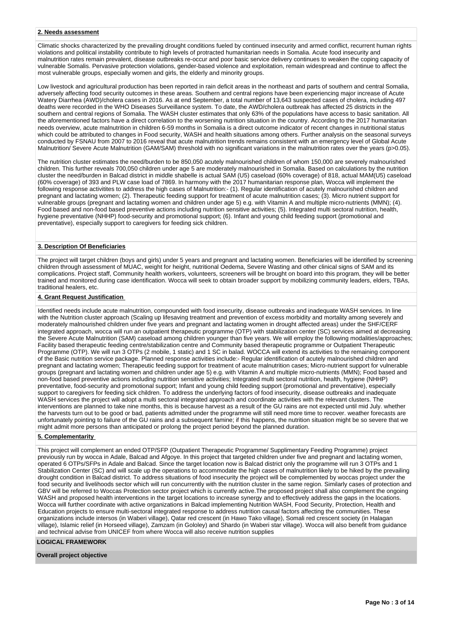### **2. Needs assessment**

Climatic shocks characterized by the prevailing drought conditions fueled by continued insecurity and armed conflict, recurrent human rights violations and political instability contribute to high levels of protracted humanitarian needs in Somalia. Acute food insecurity and malnutrition rates remain prevalent, disease outbreaks re-occur and poor basic service delivery continues to weaken the coping capacity of vulnerable Somalis. Pervasive protection violations, gender-based violence and exploitation, remain widespread and continue to affect the most vulnerable groups, especially women and girls, the elderly and minority groups.

Low livestock and agricultural production has been reported in rain deficit areas in the northeast and parts of southern and central Somalia, adversely affecting food security outcomes in these areas. Southern and central regions have been experiencing major increase of Acute Watery Diarrhea (AWD)/cholera cases in 2016. As at end September, a total number of 13,643 suspected cases of cholera, including 497 deaths were recorded in the WHO Diseases Surveillance system. To date, the AWD/cholera outbreak has affected 25 districts in the southern and central regions of Somalia. The WASH cluster estimates that only 63% of the populations have access to basic sanitation. All the aforementioned factors have a direct correlation to the worsening nutrition situation in the country. According to the 2017 humanitarian needs overview, acute malnutrition in children 6-59 months in Somalia is a direct outcome indicator of recent changes in nutritional status which could be attributed to changes in Food security, WASH and health situations among others. Further analysis on the seasonal surveys conducted by FSNAU from 2007 to 2016 reveal that acute malnutrition trends remains consistent with an emergency level of Global Acute Malnutrition/Severe Acute Malnutrition (GAM/SAM) threshold with no significant variations in the malnutrition rates over the years (p>0.05).

The nutrition cluster estimates the need/burden to be 850,050 acutely malnourished children of whom 150,000 are severely malnourished children. This further reveals 700,050 children under age 5 are moderately malnourished in Somalia. Based on calculations by the nutrition cluster the need/burden in Balcad district in middle shabelle is actual SAM (U5) caseload (60% coverage) of 818, actual MAM(U5) caseload (60% coverage) of 393 and PLW case load of 7869. In harmony with the 2017 humanitarian response plan, Wocca will implement the following response activitites to address the high cases of Malnutrition:- (1). Regular identification of acutely malnourished children and pregnant and lactating women; (2). Therapeutic feeding support for treatment of acute malnutrition cases; (3). Micro nutrient support for vulnerable groups (pregnant and lactating women and children under age 5) e.g. with Vitamin A and multiple micro-nutrients (MMN); (4). Food based and non-food based preventive actions including nutrition sensitive activities; (5). Integrated multi sectoral nutrition, health, hygiene preventative (NHHP) food-security and promotional support; (6). Infant and young child feeding support (promotional and preventative), especially support to caregivers for feeding sick children.

### **3. Description Of Beneficiaries**

The project will target children (boys and girls) under 5 years and pregnant and lactating women. Beneficiaries will be identified by screening children through assessment of MUAC, weight for height, nutritional Oedema, Severe Wasting and other clinical signs of SAM and its complications. Project staff, Community health workers, volunteers, screeners will be brought on board into this program, they will be better trained and monitored during case identification. Wocca will seek to obtain broader support by mobilizing community leaders, elders, TBAs, traditional healers, etc.

#### **4. Grant Request Justification**

Identified needs include acute malnutrition, compounded with food insecurity, disease outbreaks and inadequate WASH services. In line with the Nutrition cluster approach (Scaling up lifesaving treatment and prevention of excess morbidity and mortality among severely and moderately malnourished children under five years and pregnant and lactating women in drought affected areas) under the SHF/CERF integrated approach, wocca will run an outpatient therapeutic programme (OTP) with stabilization center (SC) services aimed at decreasing the Severe Acute Malnutrition (SAM) caseload among children younger than five years. We will employ the following modalities/approaches; Facility based therapeutic feeding centre/stabilization centre and Community based therapeutic programme or Outpatient Therapeutic Programme (OTP). We will run 3 OTPs (2 mobile, 1 static) and 1 SC in balad. WOCCA will extend its activities to the remaining component of the Basic nutrition service package. Planned response activities include:- Regular identification of acutely malnourished children and pregnant and lactating women; Therapeutic feeding support for treatment of acute malnutrition cases; Micro-nutrient support for vulnerable groups (pregnant and lactating women and children under age 5) e.g. with Vitamin A and multiple micro-nutrients (MMN); Food based and non-food based preventive actions including nutrition sensitive activities; Integrated multi sectoral nutrition, health, hygiene (NHHP) preventative, food-security and promotional support; Infant and young child feeding support (promotional and preventative), especially support to caregivers for feeding sick children. To address the underlying factors of food insecurity, disease outbreaks and inadequate WASH services the project will adopt a multi sectoral integrated approach and coordinate activities with the relevant clusters. The interventions are planned to take nine months, this is because harvest as a result of the GU rains are not expected until mid July. whether the harvests turn out to be good or bad, patients admitted under the programme will still need more time to recover. weather forecasts are unfortunately pointing to failure of the GU rains and a subsequent famine; if this happens, the nutrition situation might be so severe that we might admit more persons than anticipated or prolong the project period beyond the planned duration.

### **5. Complementarity**

This project will complement an ended OTP/SFP (Outpatient Therapeutic Programme/ Supplimentary Feeding Programme) project previously run by wocca in Adale, Balcad and Afgoye. In this project that targeted children under five and pregnant and lactating women, operated 6 OTPs/SFPs in Adale and Balcad. Since the target location now is Balcad district only the programme will run 3 OTPs and 1 Stabilization Center (SC) and will scale up the operations to accommodate the high cases of malnutrition likely to be hiked by the prevailing drought condition in Balcad district. To address situations of food insecurity the project will be complemented by woccas project under the food security and livelihoods sector which will run concurrently with the nutrition cluster in the same region. Similarly cases of protection and GBV will be referred to Woccas Protection sector project which is currently active.The proposed project shall also complement the ongoing WASH and proposed health interventions in the target locations to increase synergy and to effectively address the gaps in the locations. Wocca will further coordinate with active organizations in Balcad implementing Nutrition WASH, Food Security, Protection, Health and Education projects to ensure multi-sectoral integrated response to address nutrition causal factors affecting the communities. These organizations include intersos (in Waberi village), Qatar red crescent (in Hawo Tako village), Somali red crescent society (in Halagan village), Islamic relief (in Horseed village), Zamzam (in Gololey) and Shardo (in Waberi star village). Wocca will also benefit from guidance and technical advise from UNICEF from where Wocca will also receive nutrition supplies

#### **LOGICAL FRAMEWORK**

**Overall project objective**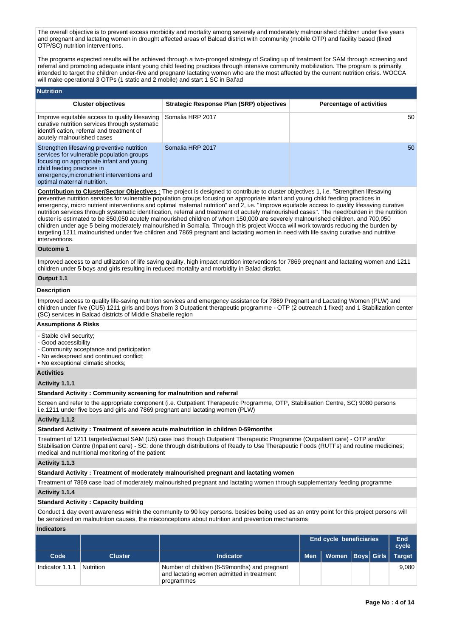The overall objective is to prevent excess morbidity and mortality among severely and moderately malnourished children under five years and pregnant and lactating women in drought affected areas of Balcad district with community (mobile OTP) and facility based (fixed OTP/SC) nutrition interventions.

The programs expected results will be achieved through a two-pronged strategy of Scaling up of treatment for SAM through screening and referral and promoting adequate infant young child feeding practices through intensive community mobilization. The program is primarily intended to target the children under-five and pregnant/ lactating women who are the most affected by the current nutrition crisis. WOCCA will make operational 3 OTPs (1 static and 2 mobile) and start 1 SC in Bal'ad

| <b>Nutrition</b>                                                                                                                                                                                                                               |                                          |                                 |
|------------------------------------------------------------------------------------------------------------------------------------------------------------------------------------------------------------------------------------------------|------------------------------------------|---------------------------------|
| <b>Cluster objectives</b>                                                                                                                                                                                                                      | Strategic Response Plan (SRP) objectives | <b>Percentage of activities</b> |
| Improve equitable access to quality lifesaving<br>curative nutrition services through systematic<br>identifi cation, referral and treatment of<br>acutely malnourished cases                                                                   | Somalia HRP 2017                         | 50                              |
| Strengthen lifesaving preventive nutrition<br>services for vulnerable population groups<br>focusing on appropriate infant and young<br>child feeding practices in<br>emergency, micronutrient interventions and<br>optimal maternal nutrition. | Somalia HRP 2017                         | 50                              |

**Contribution to Cluster/Sector Objectives :** The project is designed to contribute to cluster objectives 1, i.e. "Strengthen lifesaving preventive nutrition services for vulnerable population groups focusing on appropriate infant and young child feeding practices in emergency, micro nutrient interventions and optimal maternal nutrition" and 2, i.e. "Improve equitable access to quality lifesaving curative nutrition services through systematic identification, referral and treatment of acutely malnourished cases". The need/burden in the nutrition cluster is estimated to be 850,050 acutely malnourished children of whom 150,000 are severely malnourished children. and 700,050 children under age 5 being moderately malnourished in Somalia. Through this project Wocca will work towards reducing the burden by targeting 1211 malnourished under five children and 7869 pregnant and lactating women in need with life saving curative and nutritive interventions.

#### **Outcome 1**

Improved access to and utilization of life saving quality, high impact nutrition interventions for 7869 pregnant and lactating women and 1211 children under 5 boys and girls resulting in reduced mortality and morbidity in Balad district.

# **Output 1.1**

### **Description**

Improved access to quality life-saving nutrition services and emergency assistance for 7869 Pregnant and Lactating Women (PLW) and children under five (CU5) 1211 girls and boys from 3 Outpatient therapeutic programme - OTP (2 outreach 1 fixed) and 1 Stabilization center (SC) services in Balcad districts of Middle Shabelle region

#### **Assumptions & Risks**

- Stable civil security;
- Good accessibility
- Community acceptance and participation
- No widespread and continued conflict;
- No exceptional climatic shocks;

### **Activities**

### **Activity 1.1.1**

## **Standard Activity : Community screening for malnutrition and referral**

Screen and refer to the appropriate component (i.e. Outpatient Therapeutic Programme, OTP, Stabilisation Centre, SC) 9080 persons i.e.1211 under five boys and girls and 7869 pregnant and lactating women (PLW)

#### **Activity 1.1.2**

#### **Standard Activity : Treatment of severe acute malnutrition in children 0-59months**

Treatment of 1211 targeted/actual SAM (U5) case load though Outpatient Therapeutic Programme (Outpatient care) - OTP and/or Stabilisation Centre (Inpatient care) - SC: done through distributions of Ready to Use Therapeutic Foods (RUTFs) and routine medicines; medical and nutritional monitoring of the patient

#### **Activity 1.1.3**

#### **Standard Activity : Treatment of moderately malnourished pregnant and lactating women**

Treatment of 7869 case load of moderately malnourished pregnant and lactating women through supplementary feeding programme **Activity 1.1.4** 

#### **Standard Activity : Capacity building**

Conduct 1 day event awareness within the community to 90 key persons. besides being used as an entry point for this project persons will be sensitized on malnutrition causes, the misconceptions about nutrition and prevention mechanisms

#### **Indicators**

|                 |                |                                                                                                          | <b>End cycle beneficiaries</b> |                           |  |  | End<br>cycle |
|-----------------|----------------|----------------------------------------------------------------------------------------------------------|--------------------------------|---------------------------|--|--|--------------|
| Code            | <b>Cluster</b> | <b>Indicator</b>                                                                                         | <b>Men</b>                     | Women Boys Girls   Target |  |  |              |
| Indicator 1.1.1 | Nutrition      | Number of children (6-59 months) and pregnant<br>and lactating women admitted in treatment<br>programmes |                                |                           |  |  | 9.080        |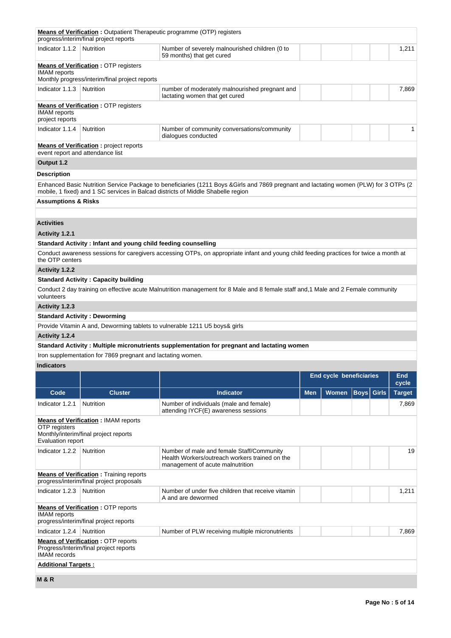|                                        | progress/interim/final project reports                                                        | <b>Means of Verification:</b> Outpatient Therapeutic programme (OTP) registers                                                                                                                                             |            |                                |                   |               |
|----------------------------------------|-----------------------------------------------------------------------------------------------|----------------------------------------------------------------------------------------------------------------------------------------------------------------------------------------------------------------------------|------------|--------------------------------|-------------------|---------------|
| Indicator 1.1.2   Nutrition            |                                                                                               | Number of severely malnourished children (0 to<br>59 months) that get cured                                                                                                                                                |            |                                |                   | 1,211         |
| <b>IMAM</b> reports                    | <b>Means of Verification: OTP registers</b><br>Monthly progress/interim/final project reports |                                                                                                                                                                                                                            |            |                                |                   |               |
| Indicator 1.1.3                        | Nutrition                                                                                     | number of moderately malnourished pregnant and<br>lactating women that get cured                                                                                                                                           |            |                                |                   | 7,869         |
| <b>IMAM</b> reports<br>project reports | <b>Means of Verification: OTP registers</b>                                                   |                                                                                                                                                                                                                            |            |                                |                   |               |
| Indicator 1.1.4                        | Nutrition                                                                                     | Number of community conversations/community<br>dialogues conducted                                                                                                                                                         |            |                                |                   | 1             |
|                                        | <b>Means of Verification:</b> project reports<br>event report and attendance list             |                                                                                                                                                                                                                            |            |                                |                   |               |
| Output 1.2                             |                                                                                               |                                                                                                                                                                                                                            |            |                                |                   |               |
| <b>Description</b>                     |                                                                                               |                                                                                                                                                                                                                            |            |                                |                   |               |
|                                        |                                                                                               | Enhanced Basic Nutrition Service Package to beneficiaries (1211 Boys & Girls and 7869 pregnant and lactating women (PLW) for 3 OTPs (2<br>mobile, 1 fixed) and 1 SC services in Balcad districts of Middle Shabelle region |            |                                |                   |               |
| <b>Assumptions &amp; Risks</b>         |                                                                                               |                                                                                                                                                                                                                            |            |                                |                   |               |
|                                        |                                                                                               |                                                                                                                                                                                                                            |            |                                |                   |               |
| <b>Activities</b>                      |                                                                                               |                                                                                                                                                                                                                            |            |                                |                   |               |
| Activity 1.2.1                         |                                                                                               |                                                                                                                                                                                                                            |            |                                |                   |               |
|                                        | Standard Activity: Infant and young child feeding counselling                                 |                                                                                                                                                                                                                            |            |                                |                   |               |
| the OTP centers                        |                                                                                               | Conduct awareness sessions for caregivers accessing OTPs, on appropriate infant and young child feeding practices for twice a month at                                                                                     |            |                                |                   |               |
| <b>Activity 1.2.2</b>                  |                                                                                               |                                                                                                                                                                                                                            |            |                                |                   |               |
|                                        | <b>Standard Activity: Capacity building</b>                                                   |                                                                                                                                                                                                                            |            |                                |                   |               |
| volunteers                             |                                                                                               | Conduct 2 day training on effective acute Malnutrition management for 8 Male and 8 female staff and, 1 Male and 2 Female community                                                                                         |            |                                |                   |               |
| Activity 1.2.3                         |                                                                                               |                                                                                                                                                                                                                            |            |                                |                   |               |
|                                        | <b>Standard Activity: Deworming</b>                                                           | Provide Vitamin A and, Deworming tablets to vulnerable 1211 U5 boys& girls                                                                                                                                                 |            |                                |                   |               |
| Activity 1.2.4                         |                                                                                               |                                                                                                                                                                                                                            |            |                                |                   |               |
|                                        |                                                                                               | Standard Activity: Multiple micronutrients supplementation for pregnant and lactating women                                                                                                                                |            |                                |                   |               |
|                                        | Iron supplementation for 7869 pregnant and lactating women.                                   |                                                                                                                                                                                                                            |            |                                |                   |               |
| <b>Indicators</b>                      |                                                                                               |                                                                                                                                                                                                                            |            |                                |                   |               |
|                                        |                                                                                               |                                                                                                                                                                                                                            |            | <b>End cycle beneficiaries</b> |                   | <b>End</b>    |
|                                        |                                                                                               |                                                                                                                                                                                                                            |            |                                |                   | cycle         |
| Code                                   | <b>Cluster</b>                                                                                | <b>Indicator</b>                                                                                                                                                                                                           | <b>Men</b> | <b>Women</b>                   | <b>Boys</b> Girls | <b>Target</b> |
| Indicator 1.2.1                        | <b>Nutrition</b>                                                                              | Number of individuals (male and female)<br>attending IYCF(E) awareness sessions                                                                                                                                            |            |                                |                   | 7,869         |
| OTP registers<br>Evaluation report     | <b>Means of Verification: IMAM reports</b><br>Monthly/interim/final project reports           |                                                                                                                                                                                                                            |            |                                |                   |               |
| Indicator 1.2.2                        | Nutrition                                                                                     | Number of male and female Staff/Community<br>Health Workers/outreach workers trained on the<br>management of acute malnutrition                                                                                            |            |                                |                   | 19            |
|                                        | <b>Means of Verification:</b> Training reports<br>progress/interim/final project proposals    |                                                                                                                                                                                                                            |            |                                |                   |               |
| Indicator 1.2.3                        | <b>Nutrition</b>                                                                              | Number of under five children that receive vitamin                                                                                                                                                                         |            |                                |                   | 1,211         |
|                                        |                                                                                               | A and are dewormed                                                                                                                                                                                                         |            |                                |                   |               |
| <b>IMAM</b> reports                    | <b>Means of Verification: OTP reports</b><br>progress/interim/final project reports           |                                                                                                                                                                                                                            |            |                                |                   |               |
| Indicator 1.2.4                        | <b>Nutrition</b>                                                                              | Number of PLW receiving multiple micronutrients                                                                                                                                                                            |            |                                |                   | 7,869         |
| <b>IMAM</b> records                    | <b>Means of Verification: OTP reports</b><br>Progress/Interim/final project reports           |                                                                                                                                                                                                                            |            |                                |                   |               |
| <b>Additional Targets:</b>             |                                                                                               |                                                                                                                                                                                                                            |            |                                |                   |               |
|                                        |                                                                                               |                                                                                                                                                                                                                            |            |                                |                   |               |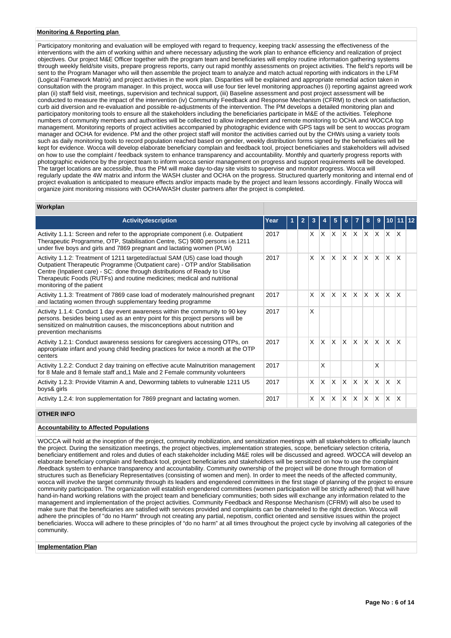### **Monitoring & Reporting plan**

Participatory monitoring and evaluation will be employed with regard to frequency, keeping track/ assessing the effectiveness of the interventions with the aim of working within and where necessary adjusting the work plan to enhance efficiency and realization of project objectives. Our project M&E Officer together with the program team and beneficiaries will employ routine information gathering systems through weekly field/site visits, prepare progress reports, carry out rapid monthly assessments on project activities. The field's reports will be sent to the Program Manager who will then assemble the project team to analyze and match actual reporting with indicators in the LFM (Logical Framework Matrix) and project activities in the work plan. Disparities will be explained and appropriate remedial action taken in consultation with the program manager. In this project, wocca will use four tier level monitoring approaches (i) reporting against agreed work plan (ii) staff field visit, meetings, supervision and technical support, (iii) Baseline assessment and post project assessment will be conducted to measure the impact of the intervention (iv) Community Feedback and Response Mechanism (CFRM) to check on satisfaction, curb aid diversion and re-evaluation and possible re-adjustments of the intervention. The PM develops a detailed monitoring plan and participatory monitoring tools to ensure all the stakeholders including the beneficiaries participate in M&E of the activities. Telephone numbers of community members and authorities will be collected to allow independent and remote monitoring to OCHA and WOCCA top management. Monitoring reports of project activities accompanied by photographic evidence with GPS tags will be sent to woccas program manager and OCHA for evidence. PM and the other project staff will monitor the activities carried out by the CHWs using a variety tools such as daily monitoring tools to record population reached based on gender, weekly distribution forms signed by the beneficiaries will be kept for evidence. Wocca will develop elaborate beneficiary complain and feedback tool, project beneficiaries and stakeholders will advised on how to use the complaint / feedback system to enhance transparency and accountability. Monthly and quarterly progress reports with photographic evidence by the project team to inform wocca senior management on progress and support requirements will be developed. The target locations are accessible, thus the PM will make day-to-day site visits to supervise and monitor progress. Wocca will regularly update the 4W matrix and inform the WASH cluster and OCHA on the progress. Structured quarterly monitoring and internal end of project evaluation is anticipated to measure effects and/or impacts made by the project and learn lessons accordingly. Finally Wocca will organize joint monitoring missions with OCHA/WASH cluster partners after the project is completed.

#### **Workplan**

| <b>Activitydescription</b>                                                                                                                                                                                                                                                                                                                        | Year | $\mathbf{2}$ |              |                         |              |                         |                   | 8                            | 9        |              |                         |  |
|---------------------------------------------------------------------------------------------------------------------------------------------------------------------------------------------------------------------------------------------------------------------------------------------------------------------------------------------------|------|--------------|--------------|-------------------------|--------------|-------------------------|-------------------|------------------------------|----------|--------------|-------------------------|--|
|                                                                                                                                                                                                                                                                                                                                                   |      |              |              |                         |              |                         |                   |                              |          |              |                         |  |
| Activity 1.1.1: Screen and refer to the appropriate component (i.e. Outpatient<br>Therapeutic Programme, OTP, Stabilisation Centre, SC) 9080 persons i.e.1211<br>under five boys and girls and 7869 pregnant and lactating women (PLW)                                                                                                            | 2017 |              | X.           | $\mathsf{X} \mathsf{X}$ |              | $\mathsf{X}$            | $X$ $X$ $X$       |                              |          | $\mathsf{X}$ | $\mathsf{I} \mathsf{X}$ |  |
| Activity 1.1.2: Treatment of 1211 targeted/actual SAM (U5) case load though<br>Outpatient Therapeutic Programme (Outpatient care) - OTP and/or Stabilisation<br>Centre (Inpatient care) - SC: done through distributions of Ready to Use<br>Therapeutic Foods (RUTFs) and routine medicines; medical and nutritional<br>monitoring of the patient | 2017 |              | <b>X</b>     | X.                      | $\times$     | $\overline{\mathsf{x}}$ | $x \mid x \mid x$ |                              |          | ΙX.          | $\mathsf{x}$            |  |
| Activity 1.1.3: Treatment of 7869 case load of moderately malnourished pregnant<br>and lactating women through supplementary feeding programme                                                                                                                                                                                                    | 2017 |              | IX.          | IX.                     | $\times$     | $\mathsf{x}$            | ΙX.               | $\mathsf{X}$                 | lx.      | ΙX.          | $\mathsf{X}$            |  |
| Activity 1.1.4: Conduct 1 day event awareness within the community to 90 key<br>persons, besides being used as an entry point for this project persons will be<br>sensitized on malnutrition causes, the misconceptions about nutrition and<br>prevention mechanisms                                                                              | 2017 |              | $\mathsf{x}$ |                         |              |                         |                   |                              |          |              |                         |  |
| Activity 1.2.1: Conduct awareness sessions for caregivers accessing OTPs, on<br>appropriate infant and young child feeding practices for twice a month at the OTP<br>centers                                                                                                                                                                      | 2017 |              | IX.          | ΙX.                     | $\times$     | $\mathsf{x}$            | ΙX.               | $\mathsf{X}$                 | lx.      | ΙX.          | $\mathsf{X}$            |  |
| Activity 1.2.2: Conduct 2 day training on effective acute Malnutrition management<br>for 8 Male and 8 female staff and, 1 Male and 2 Female community volunteers                                                                                                                                                                                  | 2017 |              |              | X                       |              |                         |                   |                              | X        |              |                         |  |
| Activity 1.2.3: Provide Vitamin A and, Deworming tablets to vulnerable 1211 U5<br>boys& girls                                                                                                                                                                                                                                                     | 2017 |              | X            | X                       | X            | X                       | $\mathsf{X}$      | IX.                          | <b>X</b> | $\times$     | $\mathsf{x}$            |  |
| Activity 1.2.4: Iron supplementation for 7869 pregnant and lactating women.                                                                                                                                                                                                                                                                       | 2017 |              | $\mathsf{x}$ | X                       | $\mathsf{x}$ | X                       | ΙX.               | $\mathbb{I} \mathsf{X}^{-1}$ | IX.      | <b>X</b>     | $\mathsf{x}$            |  |

## **OTHER INFO**

## **Accountability to Affected Populations**

WOCCA will hold at the inception of the project, community mobilization, and sensitization meetings with all stakeholders to officially launch the project. During the sensitization meetings, the project objectives, implementation strategies, scope, beneficiary selection criteria, beneficiary entitlement and roles and duties of each stakeholder including M&E roles will be discussed and agreed. WOCCA will develop an elaborate beneficiary complain and feedback tool, project beneficiaries and stakeholders will be sensitized on how to use the complaint /feedback system to enhance transparency and accountability. Community ownership of the project will be done through formation of structures such as Beneficiary Representatives (consisting of women and men). In order to meet the needs of the affected community, wocca will involve the target community through its leaders and engendered committees in the first stage of planning of the project to ensure community participation. The organization will establish engendered committees (women participation will be strictly adhered) that will have hand-in-hand working relations with the project team and beneficiary communities; both sides will exchange any information related to the management and implementation of the project activities. Community Feedback and Response Mechanism (CFRM) will also be used to make sure that the beneficiaries are satisfied with services provided and complaints can be channeled to the right direction. Wocca will adhere the principles of "do no Harm" through not creating any partial, nepotism, conflict oriented and sensitive issues within the project beneficiaries. Wocca will adhere to these principles of "do no harm" at all times throughout the project cycle by involving all categories of the community.

#### **Implementation Plan**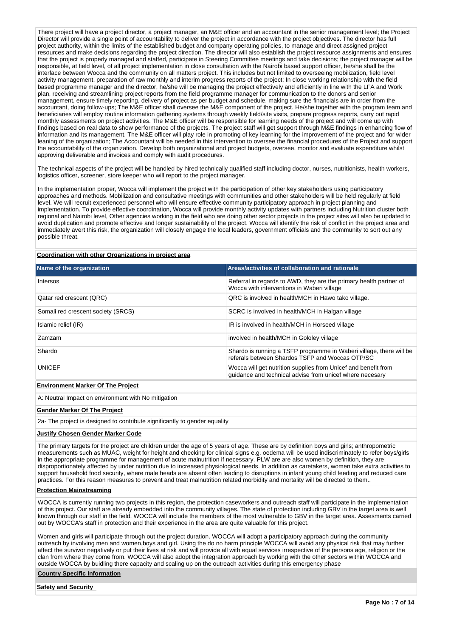There project will have a project director, a project manager, an M&E officer and an accountant in the senior management level; the Project Director will provide a single point of accountability to deliver the project in accordance with the project objectives. The director has full project authority, within the limits of the established budget and company operating policies, to manage and direct assigned project resources and make decisions regarding the project direction. The director will also establish the project resource assignments and ensures that the project is properly managed and staffed, participate in Steering Committee meetings and take decisions; the project manager will be responsible, at field level, of all project implementation in close consultation with the Nairobi based support officer, he/she shall be the interface between Wocca and the community on all matters project. This includes but not limited to overseeing mobilization, field level activity management, preparation of raw monthly and interim progress reports of the project; In close working relationship with the field based programme manager and the director, he/she will be managing the project effectively and efficiently in line with the LFA and Work plan, receiving and streamlining project reports from the field programme manager for communication to the donors and senior management, ensure timely reporting, delivery of project as per budget and schedule, making sure the financials are in order from the accountant, doing follow-ups; The M&E officer shall oversee the M&E component of the project. He/she together with the program team and beneficiaries will employ routine information gathering systems through weekly field/site visits, prepare progress reports, carry out rapid monthly assessments on project activities. The M&E officer will be responsible for learning needs of the project and will come up with findings based on real data to show performance of the projects. The project staff will get support through M&E findings in enhancing flow of information and its management. The M&E officer will play role in promoting of key learning for the improvement of the project and for wider leaning of the organization; The Accountant will be needed in this intervention to oversee the financial procedures of the Project and support the accountability of the organization. Develop both organizational and project budgets, oversee, monitor and evaluate expenditure whilst approving deliverable and invoices and comply with audit procedures.

The technical aspects of the project will be handled by hired technically qualified staff including doctor, nurses, nutritionists, health workers, logistics officer, screener, store keeper who will report to the project manager.

In the implementation proper, Wocca will implement the project with the participation of other key stakeholders using participatory approaches and methods. Mobilization and consultative meetings with communities and other stakeholders will be held regularly at field level. We will recruit experienced personnel who will ensure effective community participatory approach in project planning and implementation. To provide effective coordination, Wocca will provide monthly activity updates with partners including Nutrition cluster both regional and Nairobi level, Other agencies working in the field who are doing other sector projects in the project sites will also be updated to avoid duplication and promote effective and longer sustainability of the project. Wocca will identify the risk of conflict in the project area and immediately avert this risk, the organization will closely engage the local leaders, government officials and the community to sort out any possible threat.

**Coordination with other Organizations in project area**

| Name of the organization                 | Areas/activities of collaboration and rationale                                                                            |
|------------------------------------------|----------------------------------------------------------------------------------------------------------------------------|
| Intersos                                 | Referral in regards to AWD, they are the primary health partner of<br>Wocca with interventions in Waberi village           |
| Qatar red crescent (QRC)                 | QRC is involved in health/MCH in Hawo tako village.                                                                        |
| Somali red crescent society (SRCS)       | SCRC is involved in health/MCH in Halgan village                                                                           |
| Islamic relief (IR)                      | IR is involved in health/MCH in Horseed village                                                                            |
| <b>Zamzam</b>                            | involved in health/MCH in Gololey village                                                                                  |
| Shardo                                   | Shardo is running a TSFP programme in Waberi village, there will be<br>referals between Shardos TSFP and Woccas OTP/SC     |
| <b>UNICEF</b>                            | Wocca will get nutrition supplies from Unicef and benefit from<br>quidance and technical advise from unicef where necesary |
| <b>Environment Marker Of The Project</b> |                                                                                                                            |

A: Neutral Impact on environment with No mitigation

### **Gender Marker Of The Project**

2a- The project is designed to contribute significantly to gender equality

#### **Justify Chosen Gender Marker Code**

The primary targets for the project are children under the age of 5 years of age. These are by definition boys and girls; anthropometric measurements such as MUAC, weight for height and checking for clinical signs e.g. oedema will be used indiscriminately to refer boys/girls in the appropriate programme for management of acute malnutrition if necessary. PLW are are also women by definition, they are disproportionately affected by under nutrition due to increased physiological needs. In addition as caretakers, women take extra activities to support household food security, where male heads are absent often leading to disruptions in infant young child feeding and reduced care practices. For this reason measures to prevent and treat malnutrition related morbidity and mortality will be directed to them..

#### **Protection Mainstreaming**

WOCCA is currently running two projects in this region, the protection caseworkers and outreach staff will participate in the implementation of this project. Our staff are already embedded into the community villages. The state of protection including GBV in the target area is well known through our staff in the field. WOCCA will include the members of the most vulnerable to GBV in the target area. Assesments carried out by WOCCA's staff in protection and their experience in the area are quite valuable for this project.

Women and girls will participate through out the project duration. WOCCA will adopt a participatory approach during the community outreach by involving men and women,boys and girl. Using the do no harm principle WOCCA will avoid any physical risk that may further affect the survivor negatively or put their lives at risk and will provide all with equal services irrespective of the persons age, religion or the clan from where they come from. WOCCA will also adopt the integration approach by working with the other sectors within WOCCA and outside WOCCA by buidling there capacity and scaling up on the outreach activities during this emergency phase

#### **Country Specific Information**

**Safety and Security**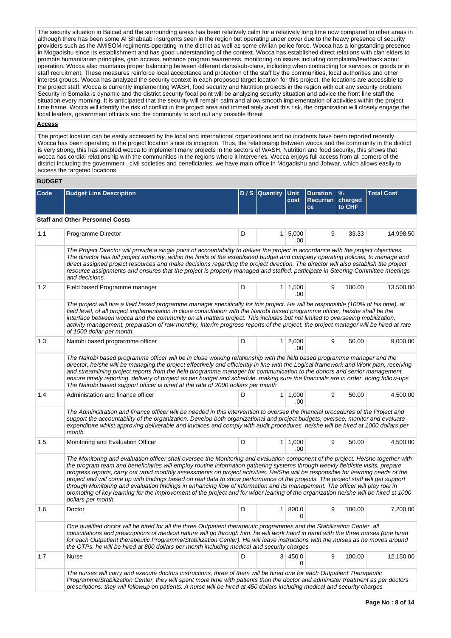The security situation in Balcad and the surrounding areas has been relatively calm for a relatively long time now compared to other areas in although there has been some Al Shabaab insurgents seen in the region but operating under cover due to the heavy presence of security providers such as the AMISOM regiments operating in the district as well as some civilian police force. Wocca has a longstanding presence in Mogadishu since its establishment and has good understanding of the context. Wocca has established direct relations with clan elders to promote humanitarian principles, gain access, enhance program awareness, monitoring on issues including complaints/feedback about operation. Wocca also maintains proper balancing between different clans/sub-clans, including when contracting for services or goods or in staff recruitment. These measures reinforce local acceptance and protection of the staff by the communities, local authorities and other interest groups. Wocca has analyzed the security context in each proposed target location for this project, the locations are accessible to the project staff. Wocca is currently implementing WASH, food security and Nutrition projects in the region with out any security problem. Security in Somalia is dynamic and the district security focal point will be analyzing security situation and advice the front line staff the situation every morning. It is anticipated that the security will remain calm and allow smooth implementation of activities within the project time frame. Wocca will identify the risk of conflict in the project area and immediately avert this risk, the organization will closely engage the local leaders, government officials and the community to sort out any possible threat

#### **Access**

The project location can be easily accessed by the local and international organizations and no incidents have been reported recently. Wocca has been operating in the project location since its inception, Thus, the relationship between wocca and the community in the district is very strong, this has enabled wocca to implement many projects in the sectors of WASH, Nutrition and food security, this shows that wocca has cordial relationship with the communities in the regions where it intervenes, Wocca enjoys full access from all corners of the district including the government , civil societies and beneficiaries. we have main office in Mogadishu and Johwar, which allows easily to access the targeted locations.

## **BUDGET**

| Code | <b>Budget Line Description</b>                                                                                                                                                                                                                                                                                                                                                                                                                                                                                                                                                                                                                                                                                                                                                                                                             |   | D / S Quantity Unit | cost                  | <b>Duration</b><br>Recurran   charged<br>ce | $\frac{9}{6}$<br>to CHF | <b>Total Cost</b> |
|------|--------------------------------------------------------------------------------------------------------------------------------------------------------------------------------------------------------------------------------------------------------------------------------------------------------------------------------------------------------------------------------------------------------------------------------------------------------------------------------------------------------------------------------------------------------------------------------------------------------------------------------------------------------------------------------------------------------------------------------------------------------------------------------------------------------------------------------------------|---|---------------------|-----------------------|---------------------------------------------|-------------------------|-------------------|
|      | <b>Staff and Other Personnel Costs</b>                                                                                                                                                                                                                                                                                                                                                                                                                                                                                                                                                                                                                                                                                                                                                                                                     |   |                     |                       |                                             |                         |                   |
| 1.1  | Programme Director                                                                                                                                                                                                                                                                                                                                                                                                                                                                                                                                                                                                                                                                                                                                                                                                                         | D |                     | $1 \mid 5,000$<br>.00 | 9                                           | 33.33                   | 14,998.50         |
|      | The Project Director will provide a single point of accountability to deliver the project in accordance with the project objectives.<br>The director has full project authority, within the limits of the established budget and company operating policies, to manage and<br>direct assigned project resources and make decisions regarding the project direction. The director will also establish the project<br>resource assignments and ensures that the project is properly managed and staffed, participate in Steering Committee meetings<br>and decisions.                                                                                                                                                                                                                                                                        |   |                     |                       |                                             |                         |                   |
| 1.2  | Field based Programme manager                                                                                                                                                                                                                                                                                                                                                                                                                                                                                                                                                                                                                                                                                                                                                                                                              | D |                     | $1 \mid 1,500$<br>.00 | 9                                           | 100.00                  | 13,500.00         |
|      | The project will hire a field based programme manager specifically for this project. He will be responsible (100% of his time), at<br>field level, of all project implementation in close consultation with the Nairobi based programme officer, he/she shall be the<br>interface between wocca and the community on all matters project. This includes but not limited to overseeing mobilization,<br>activity management, preparation of raw monthly, interim progress reports of the project, the project manager will be hired at rate<br>of 1500 dollar per month.                                                                                                                                                                                                                                                                    |   |                     |                       |                                             |                         |                   |
| 1.3  | Nairobi based programme officer                                                                                                                                                                                                                                                                                                                                                                                                                                                                                                                                                                                                                                                                                                                                                                                                            | D |                     | $1 \mid 2,000$<br>.00 | 9                                           | 50.00                   | 9,000.00          |
|      | The Nairobi based programme officer will be in close working relationship with the field based programme manager and the<br>director, he/she will be managing the project effectively and efficiently in line with the Logical framework and Work plan, receiving<br>and streamlining project reports from the field programme manager for communication to the donors and senior management,<br>ensure timely reporting, delivery of project as per budget and schedule. making sure the financials are in order, doing follow-ups.<br>The Nairobi based support officer is hired at the rate of 2000 dollars per month                                                                                                                                                                                                                   |   |                     |                       |                                             |                         |                   |
| 1.4  | Administation and finance officer                                                                                                                                                                                                                                                                                                                                                                                                                                                                                                                                                                                                                                                                                                                                                                                                          | D |                     | $1 \mid 1,000$<br>.00 | 9                                           | 50.00                   | 4,500.00          |
|      | The Administration and finance officer will be needed in this intervention to oversee the financial procedures of the Project and<br>support the accountability of the organization. Develop both organizational and project budgets, oversee, monitor and evaluate<br>expenditure whilst approving deliverable and invoices and comply with audit procedures. he/she will be hired at 1000 dollars per<br>month.                                                                                                                                                                                                                                                                                                                                                                                                                          |   |                     |                       |                                             |                         |                   |
| 1.5  | Monitoring and Evaluation Officer                                                                                                                                                                                                                                                                                                                                                                                                                                                                                                                                                                                                                                                                                                                                                                                                          | D |                     | $1 \mid 1,000$<br>.00 | 9                                           | 50.00                   | 4,500.00          |
|      | The Monitoring and evaluation officer shall oversee the Monitoring and evaluation component of the project. He/she together with<br>the program team and beneficiaries will employ routine information gathering systems through weekly field/site visits, prepare<br>progress reports, carry out rapid monthly assessments on project activities. He/She will be responsible for learning needs of the<br>project and will come up with findings based on real data to show performance of the projects. The project staff will get support<br>through Monitoring and evaluation findings in enhancing flow of information and its management. The officer will play role in<br>promoting of key learning for the improvement of the project and for wider leaning of the organization he/she will be hired st 1000<br>dollars per month. |   |                     |                       |                                             |                         |                   |
| 1.6  | Doctor                                                                                                                                                                                                                                                                                                                                                                                                                                                                                                                                                                                                                                                                                                                                                                                                                                     | D |                     | 1 800.0<br>0          | 9                                           | 100.00                  | 7,200.00          |
|      | One qualified doctor will be hired for all the three Outpatient therapeutic programmes and the Stabilization Center, all<br>consultations and prescriptions of medical nature will go through him. he will work hand in hand with the three nurses (one hired<br>for each Outpatient therapeutic Programme/Stabilization Center). He will leave instructions with the nurses as he moves around<br>the OTPs. he will be hired at 800 dollars per month including medical and security charges                                                                                                                                                                                                                                                                                                                                              |   |                     |                       |                                             |                         |                   |
| 1.7  | Nurse                                                                                                                                                                                                                                                                                                                                                                                                                                                                                                                                                                                                                                                                                                                                                                                                                                      | D |                     | 3   450.0<br>0        | 9                                           | 100.00                  | 12,150.00         |
|      | The nurses will carry and execute doctors instructions, three of them will be hired one for each Outpatient Therapeutic<br>Programme/Stabilization Center, they will spent more time with patients than the doctor and administer treatment as per doctors<br>prescriptions. they will followup on patients. A nurse will be hired at 450 dollars including medical and security charges                                                                                                                                                                                                                                                                                                                                                                                                                                                   |   |                     |                       |                                             |                         |                   |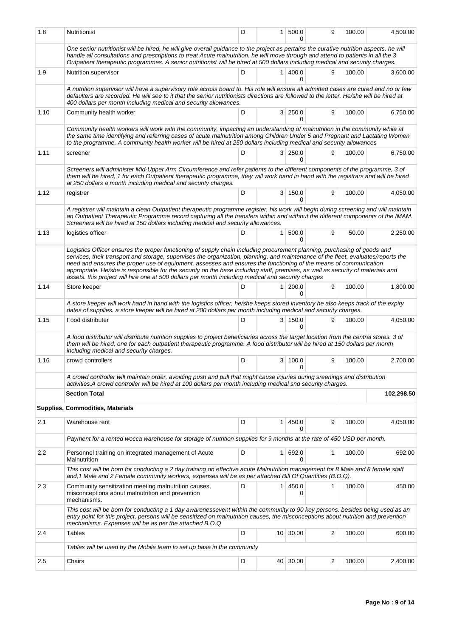| 1.8  | Nutritionist                                                                                                                                                                                                                                                                                                                                                                                                                                                                                                                                                                                                               | D | 1 <sup>1</sup> | 500.0<br>0        | 9              | 100.00 | 4,500.00   |
|------|----------------------------------------------------------------------------------------------------------------------------------------------------------------------------------------------------------------------------------------------------------------------------------------------------------------------------------------------------------------------------------------------------------------------------------------------------------------------------------------------------------------------------------------------------------------------------------------------------------------------------|---|----------------|-------------------|----------------|--------|------------|
|      | One senior nutritionist will be hired, he will give overall guidance to the project as pertains the curative nutrition aspects, he will<br>handle all consultations and prescriptions to treat Acute malnutrition. he will move through and attend to patients in all the 3<br>Outpatient therapeutic programmes. A senior nutritionist will be hired at 500 dollars including medical and security charges.                                                                                                                                                                                                               |   |                |                   |                |        |            |
| 1.9  | Nutrition supervisor                                                                                                                                                                                                                                                                                                                                                                                                                                                                                                                                                                                                       | D |                | $1 \, 400.0$<br>0 | 9              | 100.00 | 3,600.00   |
|      | A nutrition supervisor will have a supervisory role across board to. His role will ensure all admitted cases are cured and no or few<br>defaulters are recorded. He will see to it that the senior nutritionists directions are followed to the letter. He/she will be hired at<br>400 dollars per month including medical and security allowances.                                                                                                                                                                                                                                                                        |   |                |                   |                |        |            |
| 1.10 | Community health worker                                                                                                                                                                                                                                                                                                                                                                                                                                                                                                                                                                                                    | D |                | 3 250.0<br>0      | 9              | 100.00 | 6,750.00   |
|      | Community health workers will work with the community, impacting an understanding of malnutrition in the community while at<br>the same time identifying and referring cases of acute malnutrition among Children Under 5 and Pregnant and Lactating Women<br>to the programme. A community health worker will be hired at 250 dollars including medical and security allowances                                                                                                                                                                                                                                           |   |                |                   |                |        |            |
| 1.11 | screener                                                                                                                                                                                                                                                                                                                                                                                                                                                                                                                                                                                                                   | D |                | 3 250.0<br>0      | 9              | 100.00 | 6,750.00   |
|      | Screeners will administer Mid-Upper Arm Circumference and refer patients to the different components of the programme, 3 of<br>them will be hired, 1 for each Outpatient therapeutic programme, they will work hand in hand with the registrars and will be hired<br>at 250 dollars a month including medical and security charges.                                                                                                                                                                                                                                                                                        |   |                |                   |                |        |            |
| 1.12 | registrer                                                                                                                                                                                                                                                                                                                                                                                                                                                                                                                                                                                                                  | D |                | 3   150.0<br>0    | 9              | 100.00 | 4,050.00   |
|      | A registrer will maintain a clean Outpatient therapeutic programme register, his work will begin during screening and will maintain<br>an Outpatient Therapeutic Programme record capturing all the transfers within and without the different components of the IMAM.<br>Screeners will be hired at 150 dollars including medical and security allowances.                                                                                                                                                                                                                                                                |   |                |                   |                |        |            |
| 1.13 | logistics officer                                                                                                                                                                                                                                                                                                                                                                                                                                                                                                                                                                                                          | D | 1              | 500.0<br>0        | 9              | 50.00  | 2,250.00   |
|      | Logistics Officer ensures the proper functioning of supply chain including procurement planning, purchasing of goods and<br>services, their transport and storage, supervises the organization, planning, and maintenance of the fleet, evaluates/reports the<br>need and ensures the proper use of equipment, assesses and ensures the functioning of the means of communication<br>appropriate. He/she is responsible for the security on the base including staff, premises, as well as security of materials and<br>assets. this project will hire one at 500 dollars per month including medical and security charges |   |                |                   |                |        |            |
| 1.14 | Store keeper                                                                                                                                                                                                                                                                                                                                                                                                                                                                                                                                                                                                               | D | 1 <sup>1</sup> | 200.0<br>0        | 9              | 100.00 | 1,800.00   |
|      | A store keeper will work hand in hand with the logistics officer, he/she keeps stored inventory he also keeps track of the expiry<br>dates of supplies. a store keeper will be hired at 200 dollars per month including medical and security charges.                                                                                                                                                                                                                                                                                                                                                                      |   |                |                   |                |        |            |
| 1.15 | Food distributer                                                                                                                                                                                                                                                                                                                                                                                                                                                                                                                                                                                                           | D |                | 3 150.0<br>0      | 9              | 100.00 | 4.050.00   |
|      | A food distributor will distribute nutrition supplies to project beneficiaries across the target location from the central stores. 3 of<br>them will be hired, one for each outpatient therapeutic programme. A food distributor will be hired at 150 dollars per month<br>including medical and security charges.                                                                                                                                                                                                                                                                                                         |   |                |                   |                |        |            |
| 1.16 | crowd controllers                                                                                                                                                                                                                                                                                                                                                                                                                                                                                                                                                                                                          | D |                | 3   100.0<br>0    | 9              | 100.00 | 2,700.00   |
|      | A crowd controller will maintain order, avoiding push and pull that might cause injuries during sreenings and distribution<br>activities. A crowd controller will be hired at 100 dollars per month including medical snd security charges.                                                                                                                                                                                                                                                                                                                                                                                |   |                |                   |                |        |            |
|      | <b>Section Total</b>                                                                                                                                                                                                                                                                                                                                                                                                                                                                                                                                                                                                       |   |                |                   |                |        | 102,298.50 |
|      | Supplies, Commodities, Materials                                                                                                                                                                                                                                                                                                                                                                                                                                                                                                                                                                                           |   |                |                   |                |        |            |
| 2.1  | Warehouse rent                                                                                                                                                                                                                                                                                                                                                                                                                                                                                                                                                                                                             | D | 1 <sup>1</sup> | 450.0<br>0        | 9              | 100.00 | 4,050.00   |
|      | Payment for a rented wocca warehouse for storage of nutrition supplies for 9 months at the rate of 450 USD per month.                                                                                                                                                                                                                                                                                                                                                                                                                                                                                                      |   |                |                   |                |        |            |
| 2.2  | Personnel training on integrated management of Acute<br>Malnutrition                                                                                                                                                                                                                                                                                                                                                                                                                                                                                                                                                       | D | 1 <sup>1</sup> | 692.0<br>0        | 1              | 100.00 | 692.00     |
|      | This cost will be born for conducting a 2 day training on effective acute Malnutrition management for 8 Male and 8 female staff<br>and, 1 Male and 2 Female community workers, expenses will be as per attached Bill Of Quantities (B.O.Q).                                                                                                                                                                                                                                                                                                                                                                                |   |                |                   |                |        |            |
| 2.3  | Community sensitization meeting malnutrition causes,<br>misconceptions about malnutrition and prevention<br>mechanisms.                                                                                                                                                                                                                                                                                                                                                                                                                                                                                                    | D |                | 1 450.0<br>0      | 1              | 100.00 | 450.00     |
|      | This cost will be born for conducting a 1 day awarenessevent within the community to 90 key persons. besides being used as an<br>entry point for this project, persons will be sensitized on malnutrition causes, the misconceptions about nutrition and prevention<br>mechanisms. Expenses will be as per the attached B.O.Q                                                                                                                                                                                                                                                                                              |   |                |                   |                |        |            |
| 2.4  | Tables                                                                                                                                                                                                                                                                                                                                                                                                                                                                                                                                                                                                                     | D |                | 10 30.00          | $\overline{c}$ | 100.00 | 600.00     |
|      | Tables will be used by the Mobile team to set up base in the community                                                                                                                                                                                                                                                                                                                                                                                                                                                                                                                                                     |   |                |                   |                |        |            |
| 2.5  | Chairs                                                                                                                                                                                                                                                                                                                                                                                                                                                                                                                                                                                                                     | D | 40             | 30.00             | 2              | 100.00 | 2,400.00   |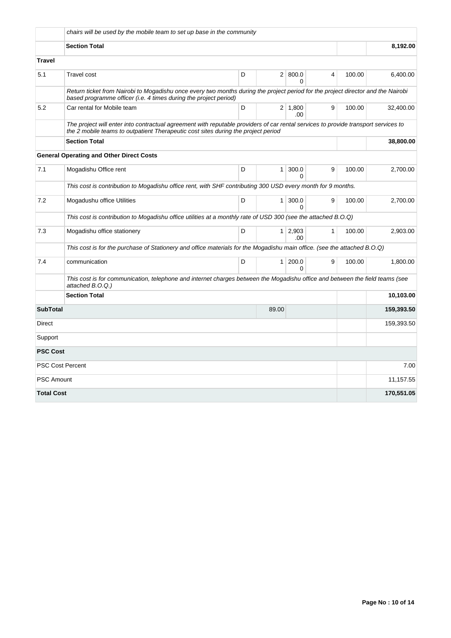|                                                                                                                                                  | chairs will be used by the mobile team to set up base in the community                                                                                                                                                  |   |              |                        |                |        |            |  |  |  |  |  |
|--------------------------------------------------------------------------------------------------------------------------------------------------|-------------------------------------------------------------------------------------------------------------------------------------------------------------------------------------------------------------------------|---|--------------|------------------------|----------------|--------|------------|--|--|--|--|--|
|                                                                                                                                                  | <b>Section Total</b>                                                                                                                                                                                                    |   | 8,192.00     |                        |                |        |            |  |  |  |  |  |
| <b>Travel</b>                                                                                                                                    |                                                                                                                                                                                                                         |   |              |                        |                |        |            |  |  |  |  |  |
| 5.1                                                                                                                                              | <b>Travel cost</b>                                                                                                                                                                                                      | D |              | 2   800.0<br>0         | $\overline{4}$ | 100.00 | 6,400.00   |  |  |  |  |  |
|                                                                                                                                                  | Return ticket from Nairobi to Mogadishu once every two months during the project period for the project director and the Nairobi<br>based programme officer (i.e. 4 times during the project period)                    |   |              |                        |                |        |            |  |  |  |  |  |
| 5.2                                                                                                                                              | Car rental for Mobile team                                                                                                                                                                                              | D |              | $2 \mid 1,800$<br>.00. | 9              | 100.00 | 32,400.00  |  |  |  |  |  |
|                                                                                                                                                  | The project will enter into contractual agreement with reputable providers of car rental services to provide transport services to<br>the 2 mobile teams to outpatient Therapeutic cost sites during the project period |   |              |                        |                |        |            |  |  |  |  |  |
|                                                                                                                                                  | <b>Section Total</b>                                                                                                                                                                                                    |   |              |                        |                |        | 38,800.00  |  |  |  |  |  |
|                                                                                                                                                  | <b>General Operating and Other Direct Costs</b>                                                                                                                                                                         |   |              |                        |                |        |            |  |  |  |  |  |
| 7.1                                                                                                                                              | Mogadishu Office rent                                                                                                                                                                                                   | D | $\mathbf{1}$ | 300.0<br>0             | 9              | 100.00 | 2,700.00   |  |  |  |  |  |
|                                                                                                                                                  | This cost is contribution to Mogadishu office rent, with SHF contributing 300 USD every month for 9 months.                                                                                                             |   |              |                        |                |        |            |  |  |  |  |  |
| 7.2                                                                                                                                              | Mogadushu office Utilities                                                                                                                                                                                              | D | $\mathbf{1}$ | 300.0<br>0             | 9              | 100.00 | 2,700.00   |  |  |  |  |  |
|                                                                                                                                                  | This cost is contribution to Mogadishu office utilities at a monthly rate of USD 300 (see the attached B.O.Q)                                                                                                           |   |              |                        |                |        |            |  |  |  |  |  |
| 7.3                                                                                                                                              | Mogadishu office stationery                                                                                                                                                                                             | D |              | $1 \quad 2.903$<br>.00 | $\mathbf{1}$   | 100.00 | 2,903.00   |  |  |  |  |  |
| This cost is for the purchase of Stationery and office materials for the Mogadishu main office. (see the attached B.O.Q)                         |                                                                                                                                                                                                                         |   |              |                        |                |        |            |  |  |  |  |  |
| 7.4                                                                                                                                              | communication                                                                                                                                                                                                           | D | $\mathbf{1}$ | 200.0<br>0             | 9              | 100.00 | 1,800.00   |  |  |  |  |  |
| This cost is for communication, telephone and internet charges between the Mogadishu office and between the field teams (see<br>attached B.O.Q.) |                                                                                                                                                                                                                         |   |              |                        |                |        |            |  |  |  |  |  |
|                                                                                                                                                  | <b>Section Total</b><br>10,103.00                                                                                                                                                                                       |   |              |                        |                |        |            |  |  |  |  |  |
| <b>SubTotal</b><br>89.00                                                                                                                         |                                                                                                                                                                                                                         |   |              |                        |                |        | 159,393.50 |  |  |  |  |  |
| Direct                                                                                                                                           |                                                                                                                                                                                                                         |   |              |                        |                |        | 159,393.50 |  |  |  |  |  |
| Support                                                                                                                                          |                                                                                                                                                                                                                         |   |              |                        |                |        |            |  |  |  |  |  |
| <b>PSC Cost</b>                                                                                                                                  |                                                                                                                                                                                                                         |   |              |                        |                |        |            |  |  |  |  |  |
|                                                                                                                                                  | <b>PSC Cost Percent</b>                                                                                                                                                                                                 |   |              |                        |                |        | 7.00       |  |  |  |  |  |
| <b>PSC Amount</b>                                                                                                                                |                                                                                                                                                                                                                         |   |              |                        |                |        | 11,157.55  |  |  |  |  |  |
| <b>Total Cost</b>                                                                                                                                |                                                                                                                                                                                                                         |   |              |                        |                |        | 170,551.05 |  |  |  |  |  |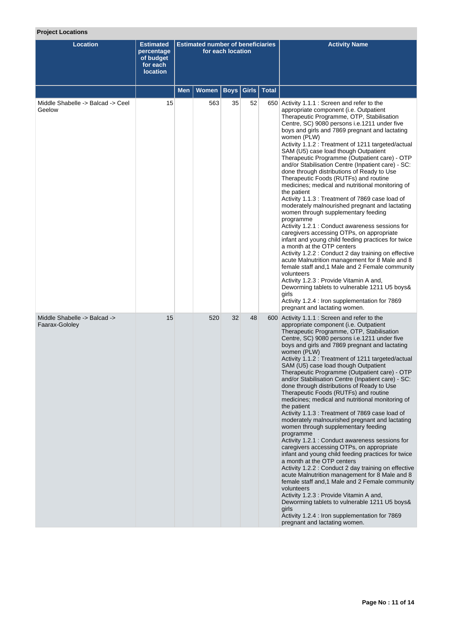# **Project Locations**

| <b>Location</b>                                | <b>Estimated</b><br>percentage<br>of budget<br>for each<br><b>location</b> | <b>Estimated number of beneficiaries</b><br>for each location |              |             |       |              | <b>Activity Name</b>                                                                                                                                                                                                                                                                                                                                                                                                                                                                                                                                                                                                                                                                                                                                                                                                                                                                                                                                                                                                                                                                                                                                                                                                                                                                                                                |
|------------------------------------------------|----------------------------------------------------------------------------|---------------------------------------------------------------|--------------|-------------|-------|--------------|-------------------------------------------------------------------------------------------------------------------------------------------------------------------------------------------------------------------------------------------------------------------------------------------------------------------------------------------------------------------------------------------------------------------------------------------------------------------------------------------------------------------------------------------------------------------------------------------------------------------------------------------------------------------------------------------------------------------------------------------------------------------------------------------------------------------------------------------------------------------------------------------------------------------------------------------------------------------------------------------------------------------------------------------------------------------------------------------------------------------------------------------------------------------------------------------------------------------------------------------------------------------------------------------------------------------------------------|
|                                                |                                                                            | Men                                                           | <b>Women</b> | <b>Boys</b> | Girls | <b>Total</b> |                                                                                                                                                                                                                                                                                                                                                                                                                                                                                                                                                                                                                                                                                                                                                                                                                                                                                                                                                                                                                                                                                                                                                                                                                                                                                                                                     |
| Middle Shabelle -> Balcad -> Ceel<br>Geelow    | 15                                                                         |                                                               | 563          | 35          | 52    |              | 650 Activity 1.1.1 : Screen and refer to the<br>appropriate component (i.e. Outpatient<br>Therapeutic Programme, OTP, Stabilisation<br>Centre, SC) 9080 persons i.e.1211 under five<br>boys and girls and 7869 pregnant and lactating<br>women (PLW)<br>Activity 1.1.2 : Treatment of 1211 targeted/actual<br>SAM (U5) case load though Outpatient<br>Therapeutic Programme (Outpatient care) - OTP<br>and/or Stabilisation Centre (Inpatient care) - SC:<br>done through distributions of Ready to Use<br>Therapeutic Foods (RUTFs) and routine<br>medicines; medical and nutritional monitoring of<br>the patient<br>Activity 1.1.3 : Treatment of 7869 case load of<br>moderately malnourished pregnant and lactating<br>women through supplementary feeding<br>programme<br>Activity 1.2.1 : Conduct awareness sessions for<br>caregivers accessing OTPs, on appropriate<br>infant and young child feeding practices for twice<br>a month at the OTP centers<br>Activity 1.2.2 : Conduct 2 day training on effective<br>acute Malnutrition management for 8 Male and 8<br>female staff and, 1 Male and 2 Female community<br>volunteers<br>Activity 1.2.3 : Provide Vitamin A and,<br>Deworming tablets to vulnerable 1211 U5 boys&<br>girls<br>Activity 1.2.4 : Iron supplementation for 7869<br>pregnant and lactating women. |
| Middle Shabelle -> Balcad -><br>Faarax-Gololey | 15                                                                         |                                                               | 520          | 32          | 48    |              | 600 Activity 1.1.1 : Screen and refer to the<br>appropriate component (i.e. Outpatient<br>Therapeutic Programme, OTP, Stabilisation<br>Centre, SC) 9080 persons i.e.1211 under five<br>boys and girls and 7869 pregnant and lactating<br>women (PLW)<br>Activity 1.1.2 : Treatment of 1211 targeted/actual<br>SAM (U5) case load though Outpatient<br>Therapeutic Programme (Outpatient care) - OTP<br>and/or Stabilisation Centre (Inpatient care) - SC:<br>done through distributions of Ready to Use<br>Therapeutic Foods (RUTFs) and routine<br>medicines; medical and nutritional monitoring of<br>the patient<br>Activity 1.1.3 : Treatment of 7869 case load of<br>moderately malnourished pregnant and lactating<br>women through supplementary feeding<br>programme<br>Activity 1.2.1 : Conduct awareness sessions for<br>caregivers accessing OTPs, on appropriate<br>infant and young child feeding practices for twice<br>a month at the OTP centers<br>Activity 1.2.2 : Conduct 2 day training on effective<br>acute Malnutrition management for 8 Male and 8<br>female staff and, 1 Male and 2 Female community<br>volunteers<br>Activity 1.2.3 : Provide Vitamin A and,<br>Deworming tablets to vulnerable 1211 U5 boys&<br>girls<br>Activity 1.2.4 : Iron supplementation for 7869<br>pregnant and lactating women. |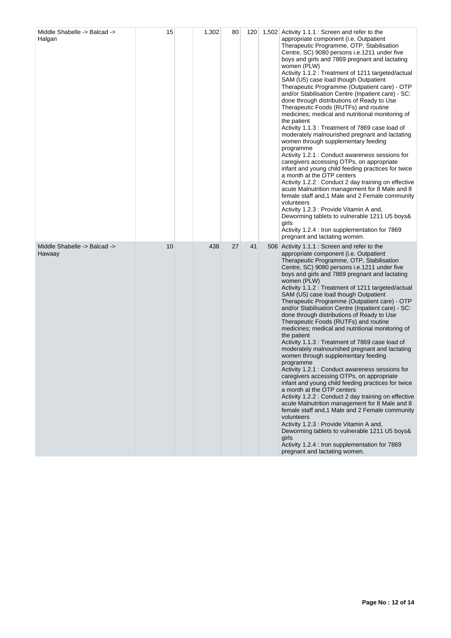| Middle Shabelle -> Balcad -><br>Halgan | 15 | 1,302 | 80 | 120 <sub>1</sub> | 1,502 Activity 1.1.1 : Screen and refer to the<br>appropriate component (i.e. Outpatient<br>Therapeutic Programme, OTP, Stabilisation<br>Centre, SC) 9080 persons i.e.1211 under five<br>boys and girls and 7869 pregnant and lactating<br>women (PLW)<br>Activity 1.1.2 : Treatment of 1211 targeted/actual<br>SAM (U5) case load though Outpatient<br>Therapeutic Programme (Outpatient care) - OTP<br>and/or Stabilisation Centre (Inpatient care) - SC:<br>done through distributions of Ready to Use<br>Therapeutic Foods (RUTFs) and routine<br>medicines; medical and nutritional monitoring of<br>the patient<br>Activity 1.1.3 : Treatment of 7869 case load of<br>moderately malnourished pregnant and lactating<br>women through supplementary feeding<br>programme<br>Activity 1.2.1 : Conduct awareness sessions for<br>caregivers accessing OTPs, on appropriate<br>infant and young child feeding practices for twice<br>a month at the OTP centers<br>Activity 1.2.2 : Conduct 2 day training on effective<br>acute Malnutrition management for 8 Male and 8<br>female staff and, 1 Male and 2 Female community<br>volunteers<br>Activity 1.2.3 : Provide Vitamin A and,<br>Deworming tablets to vulnerable 1211 U5 boys&<br>girls<br>Activity 1.2.4 : Iron supplementation for 7869<br>pregnant and lactating women. |
|----------------------------------------|----|-------|----|------------------|---------------------------------------------------------------------------------------------------------------------------------------------------------------------------------------------------------------------------------------------------------------------------------------------------------------------------------------------------------------------------------------------------------------------------------------------------------------------------------------------------------------------------------------------------------------------------------------------------------------------------------------------------------------------------------------------------------------------------------------------------------------------------------------------------------------------------------------------------------------------------------------------------------------------------------------------------------------------------------------------------------------------------------------------------------------------------------------------------------------------------------------------------------------------------------------------------------------------------------------------------------------------------------------------------------------------------------------|
| Middle Shabelle -> Balcad -><br>Hawaay | 10 | 438   | 27 | 41               | 506 Activity 1.1.1 : Screen and refer to the<br>appropriate component (i.e. Outpatient<br>Therapeutic Programme, OTP, Stabilisation<br>Centre, SC) 9080 persons i.e.1211 under five<br>boys and girls and 7869 pregnant and lactating<br>women (PLW)<br>Activity 1.1.2 : Treatment of 1211 targeted/actual<br>SAM (U5) case load though Outpatient<br>Therapeutic Programme (Outpatient care) - OTP<br>and/or Stabilisation Centre (Inpatient care) - SC:<br>done through distributions of Ready to Use<br>Therapeutic Foods (RUTFs) and routine<br>medicines; medical and nutritional monitoring of<br>the patient<br>Activity 1.1.3 : Treatment of 7869 case load of<br>moderately malnourished pregnant and lactating<br>women through supplementary feeding<br>programme<br>Activity 1.2.1 : Conduct awareness sessions for<br>caregivers accessing OTPs, on appropriate<br>infant and young child feeding practices for twice<br>a month at the OTP centers<br>Activity 1.2.2 : Conduct 2 day training on effective<br>acute Malnutrition management for 8 Male and 8<br>female staff and, 1 Male and 2 Female community<br>volunteers<br>Activity 1.2.3 : Provide Vitamin A and,<br>Deworming tablets to vulnerable 1211 U5 boys&<br>girls<br>Activity 1.2.4 : Iron supplementation for 7869<br>pregnant and lactating women.   |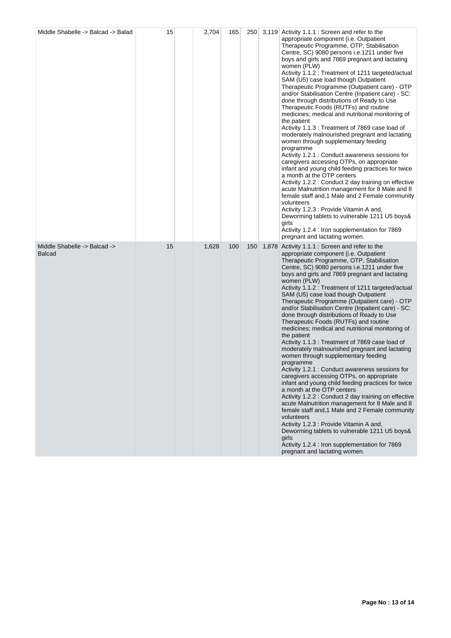| Middle Shabelle -> Balcad -> Balad            | 15 | 2,704 | 165 | 250 | 3,119 Activity 1.1.1 : Screen and refer to the<br>appropriate component (i.e. Outpatient<br>Therapeutic Programme, OTP, Stabilisation<br>Centre, SC) 9080 persons i.e.1211 under five<br>boys and girls and 7869 pregnant and lactating<br>women (PLW)<br>Activity 1.1.2 : Treatment of 1211 targeted/actual<br>SAM (U5) case load though Outpatient<br>Therapeutic Programme (Outpatient care) - OTP<br>and/or Stabilisation Centre (Inpatient care) - SC:<br>done through distributions of Ready to Use<br>Therapeutic Foods (RUTFs) and routine<br>medicines; medical and nutritional monitoring of<br>the patient<br>Activity 1.1.3 : Treatment of 7869 case load of<br>moderately malnourished pregnant and lactating<br>women through supplementary feeding<br>programme<br>Activity 1.2.1 : Conduct awareness sessions for<br>caregivers accessing OTPs, on appropriate<br>infant and young child feeding practices for twice<br>a month at the OTP centers<br>Activity 1.2.2 : Conduct 2 day training on effective<br>acute Malnutrition management for 8 Male and 8<br>female staff and, 1 Male and 2 Female community<br>volunteers<br>Activity 1.2.3 : Provide Vitamin A and,<br>Deworming tablets to vulnerable 1211 U5 boys&<br>girls<br>Activity 1.2.4 : Iron supplementation for 7869<br>pregnant and lactating women. |
|-----------------------------------------------|----|-------|-----|-----|---------------------------------------------------------------------------------------------------------------------------------------------------------------------------------------------------------------------------------------------------------------------------------------------------------------------------------------------------------------------------------------------------------------------------------------------------------------------------------------------------------------------------------------------------------------------------------------------------------------------------------------------------------------------------------------------------------------------------------------------------------------------------------------------------------------------------------------------------------------------------------------------------------------------------------------------------------------------------------------------------------------------------------------------------------------------------------------------------------------------------------------------------------------------------------------------------------------------------------------------------------------------------------------------------------------------------------------|
| Middle Shabelle -> Balcad -><br><b>Balcad</b> | 15 | 1,628 | 100 | 150 | 1,878 Activity 1.1.1 : Screen and refer to the<br>appropriate component (i.e. Outpatient<br>Therapeutic Programme, OTP, Stabilisation<br>Centre, SC) 9080 persons i.e.1211 under five<br>boys and girls and 7869 pregnant and lactating<br>women (PLW)<br>Activity 1.1.2 : Treatment of 1211 targeted/actual<br>SAM (U5) case load though Outpatient<br>Therapeutic Programme (Outpatient care) - OTP<br>and/or Stabilisation Centre (Inpatient care) - SC:<br>done through distributions of Ready to Use<br>Therapeutic Foods (RUTFs) and routine<br>medicines; medical and nutritional monitoring of<br>the patient<br>Activity 1.1.3 : Treatment of 7869 case load of<br>moderately malnourished pregnant and lactating<br>women through supplementary feeding<br>programme<br>Activity 1.2.1 : Conduct awareness sessions for<br>caregivers accessing OTPs, on appropriate<br>infant and young child feeding practices for twice<br>a month at the OTP centers<br>Activity 1.2.2 : Conduct 2 day training on effective<br>acute Malnutrition management for 8 Male and 8<br>female staff and, 1 Male and 2 Female community<br>volunteers<br>Activity 1.2.3 : Provide Vitamin A and,<br>Deworming tablets to vulnerable 1211 U5 boys&<br>qirls<br>Activity 1.2.4 : Iron supplementation for 7869<br>pregnant and lactating women. |